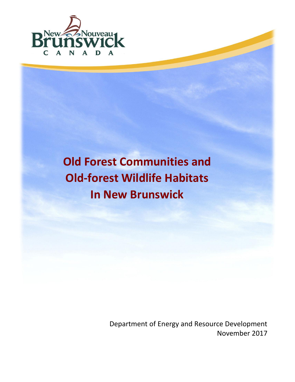

# **[Old](#page-0-0) Forest Communities and Old-forest Wildlife Habitats In New Brunswick**

<span id="page-0-0"></span>Department of Energy and Resource Development November 2017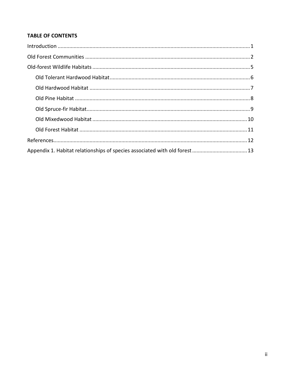## **TABLE OF CONTENTS**

<span id="page-1-0"></span>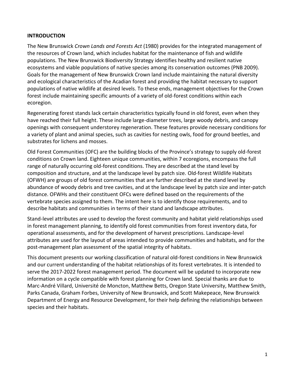## **INTRODUCTION**

The New Brunswick *Crown Lands and Forests Act* (1980) provides for the integrated management of the resources of Crown land, which includes habitat for the maintenance of fish and wildlife populations. The New Brunswick Biodiversity Strategy identifies healthy and resilient native ecosystems and viable populations of native species among its conservation outcomes (PNB 2009). Goals for the management of New Brunswick Crown land include maintaining the natural diversity and ecological characteristics of the Acadian forest and providing the habitat necessary to support populations of native wildlife at desired levels. To these ends, management objectives for the Crown forest include maintaining specific amounts of a variety of old-forest conditions within each ecoregion.

Regenerating forest stands lack certain characteristics typically found in old forest, even when they have reached their full height. These include large-diameter trees, large woody debris, and canopy openings with consequent understorey regeneration. These features provide necessary conditions for a variety of plant and animal species, such as cavities for nesting owls, food for ground beetles, and substrates for lichens and mosses.

Old Forest Communities (OFC) are the building blocks of the Province's strategy to supply old-forest conditions on Crown land. Eighteen unique communities, within 7 ecoregions, encompass the full range of naturally occurring old-forest conditions. They are described at the stand level by composition and structure, and at the landscape level by patch size. Old-forest Wildlife Habitats (OFWH) are groups of old forest communities that are further described at the stand level by abundance of woody debris and tree cavities, and at the landscape level by patch size and inter-patch distance. OFWHs and their constituent OFCs were defined based on the requirements of the vertebrate species assigned to them. The intent here is to identify those requirements, and to describe habitats and communities in terms of their stand and landscape attributes.

Stand-level attributes are used to develop the forest community and habitat yield relationships used in forest management planning, to identify old forest communities from forest inventory data, for operational assessments, and for the development of harvest prescriptions. Landscape-level attributes are used for the layout of areas intended to provide communities and habitats, and for the post-management plan assessment of the spatial integrity of habitats.

<span id="page-2-0"></span>This document presents our working classification of natural old-forest conditions in New Brunswick and our current understanding of the habitat relationships of its forest vertebrates. It is intended to serve the 2017-2022 forest management period. The document will be updated to incorporate new information on a cycle compatible with forest planning for Crown land. Special thanks are due to Marc-André Villard, Université de Moncton, Matthew Betts, Oregon State University, Matthew Smith, Parks Canada, Graham Forbes, University of New Brunswick, and Scott Makepeace, New Brunswick Department of Energy and Resource Development, for their help defining the relationships between species and their habitats.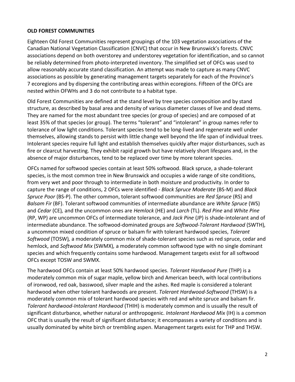## **OLD FOREST COMMUNITIES**

Eighteen Old Forest Communities represent groupings of the 103 vegetation associations of the Canadian National Vegetation Classification (CNVC) that occur in New Brunswick's forests. CNVC associations depend on both overstorey and understorey vegetation for identification, and so cannot be reliably determined from photo-interpreted inventory. The simplified set of OFCs was used to allow reasonably accurate stand classification. An attempt was made to capture as many CNVC associations as possible by generating management targets separately for each of the Province's 7 ecoregions and by dispersing the contributing areas within ecoregions. Fifteen of the OFCs are nested within OFWHs and 3 do not contribute to a habitat type.

Old Forest Communities are defined at the stand level by tree species composition and by stand structure, as described by basal area and density of various diameter classes of live and dead stems. They are named for the most abundant tree species (or group of species) and are composed of at least 35% of that species (or group). The terms "tolerant" and "intolerant" in group names refer to tolerance of low light conditions. Tolerant species tend to be long-lived and regenerate well under themselves, allowing stands to persist with little change well beyond the life span of individual trees. Intolerant species require full light and establish themselves quickly after major disturbances, such as fire or clearcut harvesting. They exhibit rapid growth but have relatively short lifespans and, in the absence of major disturbances, tend to be replaced over time by more tolerant species.

OFCs named for softwood species contain at least 50% softwood. Black spruce, a shade-tolerant species, is the most common tree in New Brunswick and occupies a wide range of site conditions, from very wet and poor through to intermediate in both moisture and productivity. In order to capture the range of conditions, 2 OFCs were identified - *Black Spruce Moderate* (BS-M) and *Black Spruce Poor* (BS-P). The other common, tolerant softwood communities are *Red Spruce* (RS) and *Balsam Fir* (BF). Tolerant softwood communities of intermediate abundance are *White Spruce* (WS) and *Cedar* (CE)*,* and the uncommon ones are *Hemlock* (HE) and *Larch* (TL). *Red Pine* and *White Pine*  (RP, WP) are uncommon OFCs of intermediate tolerance, and *Jack Pine* (JP) is shade-intolerant and of intermediate abundance. The softwood-dominated groups are *Softwood-Tolerant Hardwood* (SWTH)*,*  a uncommon mixed condition of spruce or balsam fir with tolerant hardwood species, *Tolerant Softwood* (TOSW)*,* a moderately common mix of shade-tolerant species such as red spruce, cedar and hemlock, and *Softwood Mix* (SWMX)*,* a moderately common softwood type with no single dominant species and which frequently contains some hardwood. Management targets exist for all softwood OFCs except TOSW and SWMX.

The hardwood OFCs contain at least 50% hardwood species. *Tolerant Hardwood Pure* (THP) is a moderately common mix of sugar maple, yellow birch and American beech, with local contributions of ironwood, red oak, basswood, silver maple and the ashes. Red maple is considered a tolerant hardwood when other tolerant hardwoods are present. *Tolerant Hardwood-Softwood* (THSW) is a moderately common mix of tolerant hardwood species with red and white spruce and balsam fir. *Tolerant hardwood-Intolerant Hardwood* (THIH) is moderately common and is usually the result of significant disturbance, whether natural or anthropogenic. *Intolerant Hardwood Mix* (IH) is a common OFC that is usually the result of significant disturbance; it encompasses a variety of conditions and is usually dominated by white birch or trembling aspen. Management targets exist for THP and THSW.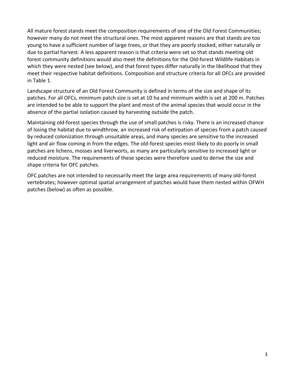All mature forest stands meet the composition requirements of one of the Old Forest Communities; however many do not meet the structural ones. The most apparent reasons are that stands are too young to have a sufficient number of large trees, or that they are poorly stocked, either naturally or due to partial harvest. A less apparent reason is that criteria were set so that stands meeting old forest community definitions would also meet the definitions for the Old-forest Wildlife Habitats in which they were nested (see below), and that forest types differ naturally in the likelihood that they meet their respective habitat definitions. Composition and structure criteria for all OFCs are provided in Table 1.

Landscape structure of an Old Forest Community is defined in terms of the size and shape of its patches. For all OFCs, minimum patch size is set at 10 ha and minimum width is set at 200 m. Patches are intended to be able to support the plant and most of the animal species that would occur in the absence of the partial isolation caused by harvesting outside the patch.

Maintaining old-forest species through the use of small patches is risky. There is an increased chance of losing the habitat due to windthrow, an increased risk of extirpation of species from a patch caused by reduced colonization through unsuitable areas, and many species are sensitive to the increased light and air flow coming in from the edges. The old-forest species most likely to do poorly in small patches are lichens, mosses and liverworts, as many are particularly sensitive to increased light or reduced moisture. The requirements of these species were therefore used to derive the size and shape criteria for OFC patches.

OFC patches are not intended to necessarily meet the large area requirements of many old-forest vertebrates; however optimal spatial arrangement of patches would have them nested within OFWH patches (below) as often as possible.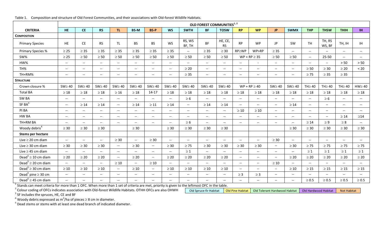<span id="page-5-0"></span>

|                                                                                                                                                                                                                                                                    |                                                     | OLD FOREST COMMUNITIES <sup>1, 2</sup> |                                                     |                                                     |                          |                                                     |                                                     |                             |                          |                          |                          |                                                     |                                                     |                                                     |                          |                          |                          |                          |
|--------------------------------------------------------------------------------------------------------------------------------------------------------------------------------------------------------------------------------------------------------------------|-----------------------------------------------------|----------------------------------------|-----------------------------------------------------|-----------------------------------------------------|--------------------------|-----------------------------------------------------|-----------------------------------------------------|-----------------------------|--------------------------|--------------------------|--------------------------|-----------------------------------------------------|-----------------------------------------------------|-----------------------------------------------------|--------------------------|--------------------------|--------------------------|--------------------------|
| <b>CRITERIA</b>                                                                                                                                                                                                                                                    | <b>HE</b>                                           | <b>CE</b>                              | <b>RS</b>                                           | TL.                                                 | <b>BS-M</b>              | <b>BS-P</b>                                         | <b>WS</b>                                           | <b>SWTH</b>                 | <b>BF</b>                | <b>TOSW</b>              | <b>RP</b>                | <b>WP</b>                                           | <b>JP</b>                                           | <b>SWMX</b>                                         | <b>THP</b>               | <b>THSW</b>              | <b>THIH</b>              | IH.                      |
| <b>COMPOSITION</b>                                                                                                                                                                                                                                                 |                                                     |                                        |                                                     |                                                     |                          |                                                     |                                                     |                             |                          |                          |                          |                                                     |                                                     |                                                     |                          |                          |                          |                          |
| <b>Primary Species</b>                                                                                                                                                                                                                                             | <b>HE</b>                                           | <b>CE</b>                              | <b>RS</b>                                           | <b>TL</b>                                           | <b>BS</b>                | <b>BS</b>                                           | <b>WS</b>                                           | RS, WS<br>BF, TH            | <b>BF</b>                | HE, CE,<br><b>RS</b>     | <b>RP</b>                | <b>WP</b>                                           | <b>JP</b>                                           | SW                                                  | <b>TH</b>                | TH, RS<br>WS, BF         | TH, IH                   | IH.                      |
| Primary Species %                                                                                                                                                                                                                                                  | $\geq 25$                                           | $\geq$ 35                              | $\geq$ 35                                           | $\geq$ 35                                           | $\geq$ 35                | $\geq$ 35                                           | $\geq$ 35                                           | $\mathcal{L}_{\mathcal{L}}$ | $\geq$ 35                | $\geq 30$                | RP≥WP                    | WP>RP                                               | $\geq$ 35                                           | $\overline{\phantom{a}}$                            | $\overline{\phantom{a}}$ |                          | $\overline{\phantom{a}}$ | $--$                     |
| SW%                                                                                                                                                                                                                                                                | $\geq 25$                                           | $\geq 50$                              | $\geq 50$                                           | $\geq 50$                                           | $\geq 50$                | $\geq 50$                                           | $\geq 50$                                           | $\geq 50$                   | $\geq 50$                | $\geq 50$                |                          | $WP + RP \geq 35$                                   | $\geq 50$                                           | $\geq 50$                                           | $\overline{\phantom{a}}$ | 25-50                    | $- -$                    | $\overline{\phantom{a}}$ |
| HW%                                                                                                                                                                                                                                                                | $\hspace{0.05cm} \ldots$                            | $\overline{\phantom{a}}$               | $ \!-$                                              | $\overline{\phantom{a}}$                            | $\overline{\phantom{a}}$ | $\hspace{0.05cm} -\hspace{0.05cm} -\hspace{0.05cm}$ | $\overline{\phantom{a}}$                            | $\sim$ $\sim$               | $--$                     | $\overline{\phantom{a}}$ | $\overline{\phantom{a}}$ |                                                     | $\overline{\phantom{a}}$                            | $\overline{\phantom{a}}$                            | $\overline{\phantom{a}}$ | $--$                     | > 50                     | $>50$                    |
| TH%                                                                                                                                                                                                                                                                | $\overline{\phantom{a}}$                            | $\overline{\phantom{a}}$               | $\overline{\phantom{a}}$                            | $\overline{\phantom{a}}$                            | $\overline{\phantom{a}}$ | $\hspace{0.05cm} -\hspace{0.05cm} -\hspace{0.05cm}$ | $\hspace{0.05cm} \ldots$                            | $\geq 20$                   | $-$                      | $\overline{\phantom{a}}$ | $\overline{\phantom{a}}$ | $\overline{\phantom{a}}$                            | $\overline{\phantom{a}}$                            | $\hspace{0.05cm} \ldots$                            | $\geq 50$                | $\geq 30$                | $\geq 20$                | $< 20$                   |
| TH+RM%                                                                                                                                                                                                                                                             | $\overline{\phantom{a}}$                            | $\hspace{0.05cm} \ldots$               | $\overline{\phantom{a}}$                            | $-$                                                 | $- -$                    | $-$                                                 | $\overline{\phantom{a}}$                            | $\geq$ 35                   | $- -$                    | $\hspace{0.05cm} \ldots$ | $\overline{\phantom{a}}$ | $\overline{\phantom{a}}$                            | $\hspace{0.05cm} \ldots$                            | $\overline{\phantom{a}}$                            | $\geq 75$                | $\geq$ 35                | $\geq$ 35                |                          |
| <b>STRUCTURE</b>                                                                                                                                                                                                                                                   |                                                     |                                        |                                                     |                                                     |                          |                                                     |                                                     |                             |                          |                          |                          |                                                     |                                                     |                                                     |                          |                          |                          |                          |
| Crown closure %                                                                                                                                                                                                                                                    | $SW \geq 40$                                        | $SW \geq 40$                           | $SW \geq 40$                                        | $SW \geq 40$                                        | $SW \geq 40$             | $SW \geq 40$                                        | $SW \geq 40$                                        | $SW \geq 40$                | $SW \geq 40$             | $SW \geq 40$             |                          | $WP + RP \geq 40$                                   | $SW \geq 40$                                        | $SW \geq 40$                                        | TH $\geq$ 40             | TH $\geq$ 40             | $TH \geq 40$             | $HW \geq 40$             |
| <b>Total BA</b>                                                                                                                                                                                                                                                    | $\geq 18$                                           | $\geq 18$                              | $\geq 18$                                           | $\geq 16$                                           | $\geq 18$                | $14 - 17$                                           | $\geq 18$                                           | $\geq 18$                   | $\geq 18$                | $\geq 18$                | $\geq 18$                | $\geq 18$                                           | $\geq 18$                                           | $\geq 18$                                           | $\geq 18$                | $\geq 18$                | $\geq 18$                | $\geq 18$                |
| SW BA                                                                                                                                                                                                                                                              | $\hspace{0.05cm} -\hspace{0.05cm} -\hspace{0.05cm}$ | $\overline{\phantom{a}}$               | $\overline{\phantom{a}}$                            | $\overline{\phantom{a}}$                            | $--$                     | $-$                                                 | $\overline{\phantom{a}}$                            | $\geq 6$                    | $-$                      | $\overline{\phantom{a}}$ | $-$                      | $\overline{\phantom{a}}$                            | $\overline{\phantom{m}}$                            | $\overline{\phantom{a}}$                            | $\overline{\phantom{a}}$ | $\geq 6$                 | $- -$                    | $--$                     |
| SFBA <sup>3</sup>                                                                                                                                                                                                                                                  | $\hspace{0.05cm} -\hspace{0.05cm} -\hspace{0.05cm}$ | $\geq 14$                              | $\geq 14$                                           | $\overline{\phantom{m}}$                            | $\geq 14$                | $\geq 11$                                           | $\geq 14$                                           | $\mathcal{L}(\mathcal{L})$  | $\geq 14$                | $\geq 14$                | $--$                     | $--$                                                | $\overline{\phantom{a}}$                            | $\geq 14$                                           | $\overline{\phantom{a}}$ | $\overline{\phantom{a}}$ | $\hspace{0.05cm} \ldots$ | $\overline{\phantom{a}}$ |
| PI BA                                                                                                                                                                                                                                                              | $\hspace{0.05cm} \ldots$                            | $- -$                                  | $ \sim$                                             | $\overline{\phantom{a}}$                            | $- -$                    | $\hspace{0.05cm} -\hspace{0.05cm} -\hspace{0.05cm}$ | $\overline{\phantom{a}}$                            | $\sim$ $\sim$               | $\overline{\phantom{a}}$ | $\overline{\phantom{a}}$ | $\geq 10$                | $\geq 10$                                           | $\overline{\phantom{a}}$                            | $\overline{\phantom{a}}$                            | $\overline{\phantom{a}}$ | $\overline{\phantom{a}}$ | $\sim$ $\sim$            | $--$                     |
| HW BA                                                                                                                                                                                                                                                              | $\overline{\phantom{a}}$                            | $\overline{\phantom{a}}$               | $\hspace{0.05cm} -\hspace{0.05cm} -\hspace{0.05cm}$ | $\overline{\phantom{m}}$                            | $\overline{\phantom{a}}$ | $-$                                                 | $\overline{\phantom{a}}$                            | $\overline{\phantom{a}}$    | $--$                     | $\hspace{0.05cm} \ldots$ | $\overline{\phantom{a}}$ | $\overline{\phantom{a}}$                            | $\overline{\phantom{a}}$                            | $\overline{\phantom{a}}$                            | $\overline{\phantom{a}}$ | $\overline{\phantom{a}}$ | $\geq 14$                | $\geq$ 14                |
| TH+RM BA                                                                                                                                                                                                                                                           | $\overline{a}$                                      | $\overline{\phantom{a}}$               | $\overline{a}$                                      | $\overline{\phantom{a}}$                            | $\overline{\phantom{a}}$ | $ -$                                                | $\hspace{0.05cm} \ldots$                            | $\geq 6$                    | $\overline{\phantom{a}}$ | $\overline{\phantom{a}}$ | $- -$                    | $\overline{a}$                                      | $ -$                                                | $\overline{\phantom{a}}$                            | $\geq 14$                | $\geq 9$                 | $\geq 8$                 | $-$                      |
| Woody debris <sup>4</sup>                                                                                                                                                                                                                                          | $\geq 30$                                           | $\geq$ 30                              | $\geq 30$                                           |                                                     | $\geq 30$                |                                                     | $\geq 30$                                           | $\geq 30$                   | $\geq$ 30                | $\geq 30$                |                          |                                                     |                                                     | $\geq 30$                                           | $\geq 30$                | $\geq 30$                | $\geq 30$                | $\geq$ 30                |
| <b>Stems per hectare</b>                                                                                                                                                                                                                                           |                                                     |                                        |                                                     |                                                     |                          |                                                     |                                                     |                             |                          |                          |                          |                                                     |                                                     |                                                     |                          |                          |                          |                          |
| Live $\geq$ 20 cm diam                                                                                                                                                                                                                                             | $\overline{\phantom{a}}$                            | $\overline{\phantom{a}}$               | $\hspace{0.05cm} \ldots$                            | $\geq 30$                                           | $\overline{\phantom{a}}$ | $\geq$ 30                                           | $\hspace{0.05cm} -\hspace{0.05cm} -\hspace{0.05cm}$ | $\overline{\phantom{a}}$    | $-$                      | $\overline{\phantom{a}}$ | $\overline{\phantom{a}}$ | $\overline{\phantom{a}}$                            | $\geq$ 30                                           | $\hspace{0.05cm} -\hspace{0.05cm} -\hspace{0.05cm}$ | $\overline{\phantom{a}}$ | $\overline{\phantom{a}}$ | $\hspace{0.05cm} \ldots$ | $\overline{\phantom{a}}$ |
| Live $\geq$ 30 cm diam                                                                                                                                                                                                                                             | $\geq 30$                                           | $\geq 30$                              | $\geq 30$                                           | $\overline{\phantom{m}}$                            | $\geq 30$                | $\overline{\phantom{a}}$                            | $\geq 30$                                           | $\geq 75$                   | $\geq 30$                | $\geq 30$                | $\geq 30$                | $\geq 30$                                           | $\hspace{0.05cm} -\hspace{0.05cm} -\hspace{0.05cm}$ | $\geq 30$                                           | $\geq 75$                | $\geq 75$                | $\geq 75$                | $\geq 75$                |
| Live $\geq$ 45 cm diam                                                                                                                                                                                                                                             | $\overline{\phantom{a}}$                            | $\overline{\phantom{a}}$               | $\overline{\phantom{a}}$                            | $\overline{\phantom{m}}$                            | $\overline{\phantom{a}}$ | $\hspace{0.05cm} -\hspace{0.05cm} -\hspace{0.05cm}$ | $-$                                                 | $\geq 1$                    |                          | $\overline{\phantom{a}}$ | $-$                      | $\hspace{0.05cm} -\hspace{0.05cm} -\hspace{0.05cm}$ | $\hspace{0.05cm} \ldots$                            |                                                     | $\geq 1$                 | $\geq 1$                 | $\geq 1$                 | $\geq 1$                 |
| Dead <sup>5</sup> $\geq$ 10 cm diam                                                                                                                                                                                                                                | $\geq 20$                                           | $\geq 20$                              | $\geq 20$                                           | $\hspace{0.05cm} -\hspace{0.05cm} -\hspace{0.05cm}$ | $\geq 20$                | $\overline{\phantom{a}}$                            | $\geq 20$                                           | $\geq 20$                   | $\geq 20$                | $\geq 20$                | $\overline{\phantom{a}}$ | $\overline{\phantom{a}}$                            | $\overline{\phantom{a}}$                            | $\geq 20$                                           | $\geq 20$                | $\geq 20$                | $\geq 20$                | $\geq 20$                |
| Dead <sup>5</sup> $\geq$ 20 cm diam                                                                                                                                                                                                                                | $\overline{\phantom{a}}$                            | $\overline{\phantom{a}}$               | $--$                                                | $\geq 10$                                           | $- -$                    | $\geq 10$                                           | $\overline{\phantom{a}}$                            | $\overline{\phantom{a}}$    | $\overline{\phantom{0}}$ | $\hspace{0.05cm} \ldots$ | $\hspace{0.05cm} \ldots$ | $\hspace{0.05cm} \ldots$                            | $\geq 10$                                           | $\overline{\phantom{a}}$                            | $\overline{\phantom{a}}$ | $\overline{\phantom{a}}$ | $-$                      | $- -$                    |
| Dead <sup>5</sup> $\geq$ 30 cm diam                                                                                                                                                                                                                                | $\geq 10$                                           | $\geq 10$                              | $\geq 10$                                           | $\hspace{0.05cm} -\hspace{0.05cm} -\hspace{0.05cm}$ | $\geq 10$                | $\overline{\phantom{a}}$                            | $\geq 10$                                           | $\geq 10$                   | $\geq 10$                | $\geq 10$                | $\overline{\phantom{a}}$ | $\hspace{0.05cm} -\hspace{0.05cm} -\hspace{0.05cm}$ | $\hspace{0.05cm} -\hspace{0.05cm} -\hspace{0.05cm}$ | $\geq 10$                                           | $\geq 15$                | $\geq 15$                | $\geq 15$                | $\geq 15$                |
| Dead <sup>5</sup> pine $\geq$ 30 cm                                                                                                                                                                                                                                |                                                     | $\overline{\phantom{a}}$               | $\hspace{0.05cm} \ldots$                            | $\overline{\phantom{m}}$                            | $\hspace{0.05cm} \ldots$ | $-$                                                 | $\hspace{0.05cm} \ldots$                            | $\overline{\phantom{m}}$    |                          | $\hspace{0.05cm} \ldots$ | $\geq 3$                 | $\geq$ 3                                            | $\hspace{0.05cm} -\hspace{0.05cm} -\hspace{0.05cm}$ | $\hspace{0.05cm} \ldots$                            | $\overline{\phantom{a}}$ | $\hspace{0.05cm} \ldots$ |                          |                          |
| Dead <sup>5</sup> $\geq$ 45 cm diam                                                                                                                                                                                                                                |                                                     | $\overline{\phantom{a}}$               | $\hspace{0.05cm} \ldots$                            | $-$                                                 | $\overline{\phantom{a}}$ |                                                     | $\overline{\phantom{a}}$                            | $\overline{\phantom{a}}$    |                          | $\overline{\phantom{a}}$ | $\overline{\phantom{a}}$ | $\overline{\phantom{a}}$                            | $\hspace{0.05cm} \ldots$                            | $\hspace{0.05cm} \ldots$                            | $\geq 0.5$               | $\geq 0.5$               | $\geq 0.5$               | $\geq 0.5$               |
| Stands can meet criteria for more than 1 OFC. When more than 1 set of criteria are met, priority is given to the leftmost OFC in the table.<br><sup>2</sup> Colour coding of OFCs indicates association with Old-forest Wildlife Habitats. OTHH OFCs are also OHWH |                                                     |                                        |                                                     |                                                     |                          |                                                     |                                                     |                             | Old Spruce-fir Habitat   |                          | <b>Old Pine Habitat</b>  |                                                     | Old Tolerant Hardwood Habitat                       |                                                     | Old Hardwood Habitat     |                          | <b>Not Habitat</b>       |                          |

Table 1. Composition and structure of Old Forest Communities, and their associations with Old-forest Wildlife Habitats.

Old Spruce-fir Habitat | Old Pine Habitat | Old Tolerant Hardwood Habitat | Old Hardwood Habitat | Not Habitat

 $3$  SF includes the spruces, HE, CE and BF

<sup>4</sup> Woody debris expressed as m<sup>3</sup>/ha of pieces  $\geq$  8 cm in diameter.

 $<sup>5</sup>$  Dead stems or stems with at least one dead branch of indicated diameter.</sup>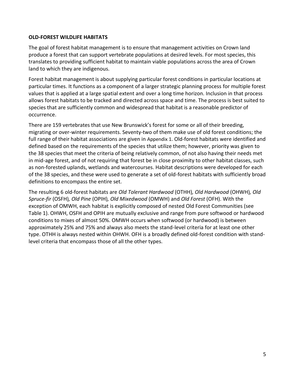## <span id="page-6-0"></span>**OLD-FOREST WILDLIFE HABITATS**

The goal of forest habitat management is to ensure that management activities on Crown land produce a forest that can support vertebrate populations at desired levels. For most species, this translates to providing sufficient habitat to maintain viable populations across the area of Crown land to which they are indigenous.

Forest habitat management is about supplying particular forest conditions in particular locations at particular times. It functions as a component of a larger strategic planning process for multiple forest values that is applied at a large spatial extent and over a long time horizon. Inclusion in that process allows forest habitats to be tracked and directed across space and time. The process is best suited to species that are sufficiently common and widespread that habitat is a reasonable predictor of occurrence.

There are 159 vertebrates that use New Brunswick's forest for some or all of their breeding, migrating or over-winter requirements. Seventy-two of them make use of old forest conditions; the full range of their habitat associations are given in [Appendix](#page-14-0) 1. Old-forest habitats were identified and defined based on the requirements of the species that utilize them; however, priority was given to the 38 species that meet the criteria of being relatively common, of not also having their needs met in mid-age forest, and of not requiring that forest be in close proximity to other habitat classes, such as non-forested uplands, wetlands and watercourses. Habitat descriptions were developed for each of the 38 species, and these were used to generate a set of old-forest habitats with sufficiently broad definitions to encompass the entire set.

The resulting 6 old-forest habitats are *Old Tolerant Hardwood* (OTHH)*, Old Hardwood* (OHWH)*, Old Spruce-fir* (OSFH)*, Old Pine* (OPIH)*, Old Mixedwood* (OMWH) and *Old Forest* (OFH). With the exception of OMWH, each habitat is explicitly composed of nested Old Forest Communities (see [Table 1\)](#page-5-0). OHWH, OSFH and OPIH are mutually exclusive and range from pure softwood or hardwood conditions to mixes of almost 50%. OMWH occurs when softwood (or hardwood) is between approximately 25% and 75% and always also meets the stand-level criteria for at least one other type. OTHH is always nested within OHWH. OFH is a broadly defined old-forest condition with standlevel criteria that encompass those of all the other types.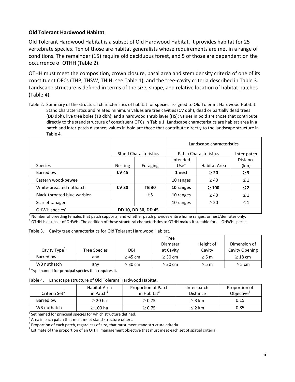## <span id="page-7-0"></span>**Old Tolerant Hardwood Habitat**

Old Tolerant Hardwood Habitat is a subset of Old Hardwood Habitat. It provides habitat for 25 vertebrate species. Ten of those are habitat generalists whose requirements are met in a range of conditions. The remainder (15) require old deciduous forest, and 5 of those are dependent on the occurrence of OTHH [\(Table 2\)](#page-7-1).

OTHH must meet the composition, crown closure, basal area and stem density criteria of one of its constituent OFCs (THP, THSW, THIH; see [Table 1\)](#page-5-0), and the tree-cavity criteria described in [Table 3.](#page-7-2) Landscape structure is defined in terms of the size, shape, and relative location of habitat patches [\(Table](#page-7-3) 4).

<span id="page-7-1"></span>Table 2. Summary of the structural characteristics of habitat for species assigned to Old Tolerant Hardwood Habitat. Stand characteristics and related minimum values are tree cavities (CV dbh), dead or partially dead trees (DD dbh), live tree boles (TB dbh), and a hardwood shrub layer (HS); values in bold are those that contribute directly to the stand structure of constituent OFCs in [Table 1.](#page-5-0) Landscape characteristics are habitat area in a patch and inter-patch distance; values in bold are those that contribute directly to the landscape structure in [Table 4.](#page-7-3)

|                             |                              |             | Landscape characteristics    |              |          |
|-----------------------------|------------------------------|-------------|------------------------------|--------------|----------|
|                             | <b>Stand Characteristics</b> |             | <b>Patch Characteristics</b> | Inter-patch  |          |
|                             |                              |             | Intended                     |              | Distance |
| <b>Species</b>              | <b>Nesting</b>               | Foraging    | Use <sup>1</sup>             | Habitat Area | (km)     |
| Barred owl                  | <b>CV 45</b>                 |             | 1 nest                       | $\geq 20$    | $\geq$ 3 |
| Eastern wood-pewee          |                              |             | 10 ranges                    | $\geq 40$    | $\leq 1$ |
| White-breasted nuthatch     | <b>CV30</b>                  | <b>TB30</b> | 10 ranges                    | $\geq 100$   | $\leq 2$ |
| Black-throated blue warbler |                              | НS          | 10 ranges                    | $\geq 40$    | $\leq 1$ |
| Scarlet tanager             |                              |             | 10 ranges                    | $\geq 20$    | $\leq 1$ |
| OHWH species <sup>2</sup>   | DD 10, DD 30, DD 45          |             |                              |              |          |

<sup>1</sup> Number of breeding females that patch supports; and whether patch provides entire home ranges, or nest/den sites only.  $^2$  OTHH is a subset of OHWH. The addition of these structural characteristics to OTHH makes it suitable for all OHWH species.

<span id="page-7-2"></span>

| Table 3. Cavity tree characteristics for Old Tolerant Hardwood Habitat. |
|-------------------------------------------------------------------------|
|                                                                         |

|                          |                     |              | Tree         |            |                |
|--------------------------|---------------------|--------------|--------------|------------|----------------|
|                          |                     |              | Diameter     | Height of  | Dimension of   |
| Cavity Type <sup>+</sup> | <b>Tree Species</b> | <b>DBH</b>   | at Cavity    | Cavity     | Cavity Opening |
| Barred owl               | any                 | $\geq$ 45 cm | $\geq$ 30 cm | $\geq$ 5 m | $\geq$ 18 cm   |
| WB nuthatch              | any                 | $\geq$ 30 cm | $\geq$ 20 cm | $\geq$ 5 m | $\geq$ 5 cm    |

<sup>1</sup> Type named for principal species that requires it.

<span id="page-7-3"></span>Table 4. Landscape structure of Old Tolerant Hardwood Habitat.

| Criteria Set <sup>+</sup> | Habitat Area<br>in Patch <sup>2</sup> | Proportion of Patch<br>in Habitat <sup>3</sup> | Inter-patch<br><b>Distance</b> | Proportion of<br>Objective <sup>4</sup> |
|---------------------------|---------------------------------------|------------------------------------------------|--------------------------------|-----------------------------------------|
| Barred owl                | $\geq$ 20 ha                          | $\geq 0.75$                                    | $\geq$ 3 km                    | 0.15                                    |
| WB nuthatch               | $\geq 100$ ha                         | $\geq 0.75$                                    | $\leq$ 2 km                    | 0.85                                    |

<sup>1</sup> Set named for principal species for which structure defined.

 $2$  Area in each patch that must meet stand structure criteria.

 $3$  Proportion of each patch, regardless of size, that must meet stand structure criteria.

 $^4$  Estimate of the proportion of an OTHH management objective that must meet each set of spatial criteria.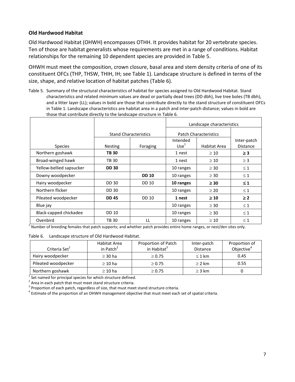## <span id="page-8-0"></span>**Old Hardwood Habitat**

Old Hardwood Habitat (OHWH) encompasses OTHH. It provides habitat for 20 vertebrate species. Ten of those are habitat generalists whose requirements are met in a range of conditions. Habitat relationships for the remaining 10 dependent species are provided in [Table 5.](#page-8-1)

OHWH must meet the composition, crown closure, basal area and stem density criteria of one of its constituent OFCs (THP, THSW, THIH, IH; see Table 1). Landscape structure is defined in terms of the size, shape, and relative location of habitat patches [\(Table 6\)](#page-8-2).

<span id="page-8-1"></span>Table 5. Summary of the structural characteristics of habitat for species assigned to Old Hardwood Habitat. Stand characteristics and related minimum values are dead or partially dead trees (DD dbh), live tree boles (TB dbh), and a litter layer (LL); values in bold are those that contribute directly to the stand structure of constituent OFCs in [Table 1.](#page-5-0) Landscape characteristics are habitat area in a patch and inter-patch distance; values in bold are those that contribute directly to the landscape structure in [Table 6.](#page-8-2)

|                          |                |                              | Landscape characteristics    |              |                                |
|--------------------------|----------------|------------------------------|------------------------------|--------------|--------------------------------|
|                          |                | <b>Stand Characteristics</b> | <b>Patch Characteristics</b> |              |                                |
| <b>Species</b>           | <b>Nesting</b> | Foraging                     | Intended<br>Use <sup>1</sup> | Habitat Area | Inter-patch<br><b>Distance</b> |
| Northern goshawk         | <b>TB 30</b>   |                              | 1 nest                       | $\geq 10$    | $\geq$ 3                       |
| Broad-winged hawk        | TB 30          |                              | 1 nest                       | $\geq 10$    | $\geq$ 3                       |
| Yellow-bellied sapsucker | <b>DD 30</b>   |                              | 10 ranges                    | $\geq$ 30    | $\leq 1$                       |
| Downy woodpecker         |                | <b>DD 10</b>                 | 10 ranges                    | $\geq$ 30    | $\leq 1$                       |
| Hairy woodpecker         | <b>DD 30</b>   | <b>DD 10</b>                 | 10 ranges                    | $\geq 30$    | $\leq 1$                       |
| Northern flicker         | DD 30          |                              | 10 ranges                    | $\geq 20$    | $\leq 1$                       |
| Pileated woodpecker      | <b>DD 45</b>   | <b>DD 10</b>                 | 1 nest                       | $\geq 10$    | $\geq$ 2                       |
| Blue jay                 |                |                              | 10 ranges                    | $\geq$ 30    | $\leq 1$                       |
| Black-capped chickadee   | <b>DD 10</b>   |                              | 10 ranges                    | $\geq$ 30    | $\leq 1$                       |
| Ovenbird                 | <b>TB30</b>    | LL                           | 10 ranges                    | $\geq 10$    | $\leq 1$                       |

<sup>1</sup> Number of breeding females that patch supports; and whether patch provides entire home ranges, or nest/den sites only.

#### <span id="page-8-2"></span>Table 6. Landscape structure of Old Hardwood Habitat.

| Criteria Set <sup>+</sup> | Habitat Area<br>in Patch <sup>2</sup> | Proportion of Patch<br>in Habitat <sup>3</sup> | Inter-patch<br><b>Distance</b> | Proportion of<br>Objective <sup>4</sup> |
|---------------------------|---------------------------------------|------------------------------------------------|--------------------------------|-----------------------------------------|
| Hairy woodpecker          | $\geq$ 30 ha                          | $\geq 0.75$                                    | $\leq 1$ km                    | 0.45                                    |
| Pileated woodpecker       | $\geq 10$ ha                          | $\geq 0.75$                                    | $\geq$ 2 km                    | 0.55                                    |
| Northern goshawk          | $\geq 10$ ha                          | $\geq 0.75$                                    | $\geq$ 3 km                    |                                         |

<sup>1</sup> Set named for principal species for which structure defined.

 $2$  Area in each patch that must meet stand structure criteria.

 $3$  Proportion of each patch, regardless of size, that must meet stand structure criteria.

 $^4$  Estimate of the proportion of an OHWH management objective that must meet each set of spatial criteria.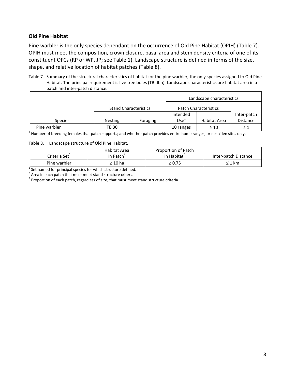## <span id="page-9-0"></span>**Old Pine Habitat**

Pine warbler is the only species dependant on the occurrence of Old Pine Habitat (OPIH) [\(Table 7\)](#page-9-1). OPIH must meet the composition, crown closure, basal area and stem density criteria of one of its constituent OFCs (RP or WP, JP; see [Table 1\)](#page-5-0). Landscape structure is defined in terms of the size, shape, and relative location of habitat patches [\(Table 8\)](#page-9-2).

<span id="page-9-1"></span>Table 7. Summary of the structural characteristics of habitat for the pine warbler, the only species assigned to Old Pine Habitat. The principal requirement is live tree boles (TB dbh). Landscape characteristics are habitat area in a patch and inter-patch distance**.**

|                |                              |          |                              | Landscape characteristics |                 |
|----------------|------------------------------|----------|------------------------------|---------------------------|-----------------|
|                | <b>Stand Characteristics</b> |          | <b>Patch Characteristics</b> |                           |                 |
|                |                              |          | Intended                     |                           | Inter-patch     |
| <b>Species</b> | <b>Nesting</b>               | Foraging | Use <sup>1</sup>             | Habitat Area              | <b>Distance</b> |
| Pine warbler   | <b>TB 30</b>                 |          | 10 ranges                    | $\geq 10$                 | $\leq 1$        |

<sup>1</sup> Number of breeding females that patch supports; and whether patch provides entire home ranges, or nest/den sites only.

#### <span id="page-9-2"></span>Table 8. Landscape structure of Old Pine Habitat.

| Criteria Set <sup>+</sup> | Habitat Area<br>in Patch <sup>2</sup> | Proportion of Patch<br>in Habitat <sup>3</sup> | Inter-patch Distance |
|---------------------------|---------------------------------------|------------------------------------------------|----------------------|
| Pine warbler              | $\geq 10$ ha                          | $\geq 0.75$                                    | $\leq 1$ km          |

 $1$  Set named for principal species for which structure defined.

 $2$  Area in each patch that must meet stand structure criteria.

 $3$  Proportion of each patch, regardless of size, that must meet stand structure criteria.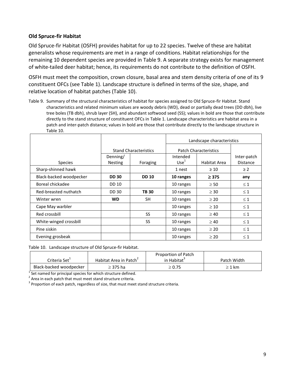## <span id="page-10-0"></span>**Old Spruce-fir Habitat**

Old Spruce-fir Habitat (OSFH) provides habitat for up to 22 species. Twelve of these are habitat generalists whose requirements are met in a range of conditions. Habitat relationships for the remaining 10 dependent species are provided in [Table 9.](#page-10-1) A separate strategy exists for management of white-tailed deer habitat; hence, its requirements do not contribute to the definition of OSFH.

OSFH must meet the composition, crown closure, basal area and stem density criteria of one of its 9 constituent OFCs (see [Table 1\)](#page-5-0). Landscape structure is defined in terms of the size, shape, and relative location of habitat patches [\(Table 10\)](#page-10-2).

<span id="page-10-1"></span>Table 9. Summary of the structural characteristics of habitat for species assigned to Old Spruce-fir Habitat. Stand characteristics and related minimum values are woody debris (WD), dead or partially dead trees (DD dbh), live tree boles (TB dbh), shrub layer (SH), and abundant softwood seed (SS); values in bold are those that contribute directly to the stand structure of constituent OFCs in [Table 1.](#page-5-0) Landscape characteristics are habitat area in a patch and inter-patch distance; values in bold are those that contribute directly to the landscape structure in [Table 10.](#page-10-2)

|                         |                |                              | Landscape characteristics    |              |                 |
|-------------------------|----------------|------------------------------|------------------------------|--------------|-----------------|
|                         |                | <b>Stand Characteristics</b> | <b>Patch Characteristics</b> |              |                 |
|                         | Denning/       |                              | Intended                     |              | Inter-patch     |
| <b>Species</b>          | <b>Nesting</b> | Foraging                     | Use <sup>1</sup>             | Habitat Area | <b>Distance</b> |
| Sharp-shinned hawk      |                |                              | 1 nest                       | $\geq 10$    | $\geq$ 2        |
| Black-backed woodpecker | <b>DD 30</b>   | <b>DD 10</b>                 | 10 ranges                    | $\geq$ 375   | any             |
| Boreal chickadee        | <b>DD 10</b>   |                              | 10 ranges                    | $\geq 50$    | $\leq 1$        |
| Red-breasted nuthatch   | <b>DD 30</b>   | <b>TB30</b>                  | 10 ranges                    | $\geq$ 30    | $\leq 1$        |
| Winter wren             | <b>WD</b>      | SH                           | 10 ranges                    | $\geq 20$    | $\leq 1$        |
| Cape May warbler        |                |                              | 10 ranges                    | $\geq 10$    | $\leq 1$        |
| Red crossbill           |                | SS                           | 10 ranges                    | $\geq 40$    | $\leq 1$        |
| White-winged crossbill  |                | SS                           | 10 ranges                    | $\geq 40$    | $\leq 1$        |
| Pine siskin             |                |                              | 10 ranges                    | $\geq 20$    | $\leq 1$        |
| Evening grosbeak        |                |                              | 10 ranges                    | $\geq 20$    | $\leq 1$        |

<span id="page-10-2"></span>Table 10. Landscape structure of Old Spruce-fir Habitat.

|                           |                                    | Proportion of Patch |             |
|---------------------------|------------------------------------|---------------------|-------------|
| Criteria Set <sup>+</sup> | Habitat Area in Patch <sup>2</sup> | in Habitat          | Patch Width |
| Black-backed woodpecker   | ≥ 375 ha                           | $\geq 0.75$         | $\geq 1$ km |

<sup>1</sup> Set named for principal species for which structure defined.

 $2$  Area in each patch that must meet stand structure criteria.

 $3$  Proportion of each patch, regardless of size, that must meet stand structure criteria.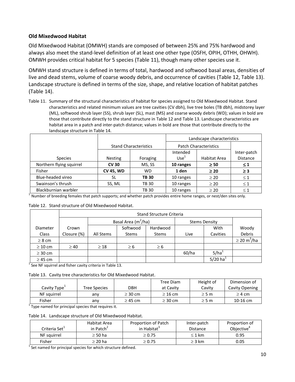## <span id="page-11-0"></span>**Old Mixedwood Habitat**

Old Mixedwood Habitat (OMWH) stands are composed of between 25% and 75% hardwood and always also meet the stand-level definition of at least one other type (OSFH, OPIH, OTHH, OHWH). OMWH provides critical habitat for 5 species [\(Table 11\)](#page-11-1), though many other species use it.

OMWH stand structure is defined in terms of total, hardwood and softwood basal areas, densities of live and dead stems, volume of coarse woody debris, and occurrence of cavities [\(Table 12,](#page-11-2) [Table 13\)](#page-11-3). Landscape structure is defined in terms of the size, shape, and relative location of habitat patches [\(Table 14\)](#page-11-4).

<span id="page-11-1"></span>Table 11. Summary of the structural characteristics of habitat for species assigned to Old Mixedwood Habitat. Stand characteristics and related minimum values are tree cavities (CV dbh), live tree boles (TB dbh), midstorey layer (ML), softwood shrub layer (SS), shrub layer (SL), mast (MS) and coarse woody debris (WD); values in bold are those that contribute directly to the stand structure in [Table 12](#page-11-2) and [Table 13.](#page-11-3) Landscape characteristics are habitat area in a patch and inter-patch distance; values in bold are those that contribute directly to the landscape structure i[n Table 14.](#page-11-4)

|                          |                  |                              |                  | Landscape characteristics    |                 |  |
|--------------------------|------------------|------------------------------|------------------|------------------------------|-----------------|--|
|                          |                  | <b>Stand Characteristics</b> |                  | <b>Patch Characteristics</b> |                 |  |
|                          |                  |                              | Intended         |                              | Inter-patch     |  |
| <b>Species</b>           | <b>Nesting</b>   | Foraging                     | Use <sup>1</sup> | Habitat Area                 | <b>Distance</b> |  |
| Northern flying squirrel | <b>CV 30</b>     | MS, SS                       | 10 ranges        | $\geq 50$                    | $\leq 1$        |  |
| Fisher                   | <b>CV 45, WD</b> | <b>WD</b>                    | 1 den            | $\geq 20$                    | $\geq$ 3        |  |
| Blue-headed vireo        | SL               | <b>TB30</b>                  | 10 ranges        | $\geq 20$                    | $\leq 1$        |  |
| Swainson's thrush        | SS, ML           | <b>TB 30</b>                 | 10 ranges        | $\geq 20$                    | $\leq 1$        |  |
| Blackburnian warbler     |                  | <b>TB 30</b>                 | 10 ranges        | $\geq 20$                    | $\leq 1$        |  |

<sup>1</sup> Number of breeding females that patch supports; and whether patch provides entire home ranges, or nest/den sites only.

<span id="page-11-2"></span>

|  |  | Table 12. Stand structure of Old Mixedwood Habitat. |
|--|--|-----------------------------------------------------|
|--|--|-----------------------------------------------------|

|              |             |           | <b>Stand Structure Criteria</b> |              |       |                                  |                              |  |  |  |
|--------------|-------------|-----------|---------------------------------|--------------|-------|----------------------------------|------------------------------|--|--|--|
|              |             |           | Basal Area (m <sup>2</sup> /ha) |              |       | <b>Stems Density</b>             |                              |  |  |  |
| Diameter     | Crown       |           | Softwood                        | Hardwood     |       | With                             | Woody                        |  |  |  |
| Class        | Closure (%) | All Stems | <b>Stems</b>                    | <b>Stems</b> | Live  | Cavities                         | Debris                       |  |  |  |
| $\geq 8$ cm  |             |           |                                 |              |       |                                  | $\geq$ 20 m <sup>3</sup> /ha |  |  |  |
| $\geq 10$ cm | $\geq 40$   | $\geq 18$ | $\geq 6$                        | $\geq 6$     |       |                                  |                              |  |  |  |
| $\geq$ 30 cm |             |           |                                 |              | 60/ha | $5/ha$ <sup><math>+</math></sup> |                              |  |  |  |
| $\geq$ 45 cm |             |           |                                 |              |       | $5/20$ ha <sup>1</sup>           |                              |  |  |  |

<sup>1</sup> See NF squirrel and fisher cavity criteria i[n Table 13.](#page-11-3)

<span id="page-11-3"></span>

|  |  | Table 13. Cavity tree characteristics for Old Mixedwood Habitat. |  |  |  |
|--|--|------------------------------------------------------------------|--|--|--|
|--|--|------------------------------------------------------------------|--|--|--|

|                          |              |              | Tree Diam    | Height of  | Dimension of   |
|--------------------------|--------------|--------------|--------------|------------|----------------|
| Cavity Type <sup>+</sup> | Tree Species | DBH          | at Cavity    | Cavitv     | Cavity Opening |
| NF squirrel              | anv          | $\geq$ 30 cm | $\geq$ 16 cm | $\geq$ 5 m | $\geq$ 4 cm    |
| Fisher                   | anv          | $\geq$ 45 cm | $\geq$ 30 cm | $\geq$ 5 m | $10-16$ cm     |

 $1$ <sub>Type named for principal species that requires it.</sub>

<span id="page-11-4"></span>Table 14. Landscape structure of Old Mixedwood Habitat.

| Criteria Set <sup>1</sup> | Habitat Area<br>in Patch <sup><math>2</math></sup> | Proportion of Patch<br>in Habitat <sup>3</sup> | Inter-patch<br><b>Distance</b> | Proportion of<br>Objective <sup>4</sup> |
|---------------------------|----------------------------------------------------|------------------------------------------------|--------------------------------|-----------------------------------------|
| NF sauirrel               | $\geq$ 50 ha                                       | $\geq 0.75$                                    | $\leq 1$ km                    | 0.95                                    |
| Fisher                    | ≥ 20 ha                                            | $\geq 0.75$                                    | $\geq$ 3 km                    | 0.05                                    |

<sup>1</sup> Set named for principal species for which structure defined.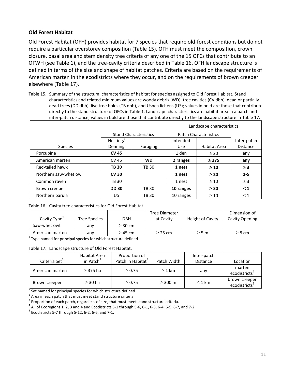## <span id="page-12-0"></span>**Old Forest Habitat**

Old Forest Habitat (OFH) provides habitat for 7 species that require old-forest conditions but do not require a particular overstorey composition [\(Table 15\)](#page-12-1). OFH must meet the composition, crown closure, basal area and stem density tree criteria of any one of the 15 OFCs that contribute to an OFWH (see [Table 1\)](#page-5-0), and the tree-cavity criteria described in [Table 16.](#page-12-2) OFH landscape structure is defined in terms of the size and shape of habitat patches. Criteria are based on the requirements of American marten in the ecodistricts where they occur, and on the requirements of brown creeper elsewhere [\(Table 17\)](#page-12-3).

<span id="page-12-1"></span>Table 15. Summary of the structural characteristics of habitat for species assigned to Old Forest Habitat. Stand characteristics and related minimum values are woody debris (WD), tree cavities (CV dbh), dead or partially dead trees (DD dbh), live tree boles (TB dbh), and Usnea lichens (US); values in bold are those that contribute directly to the stand structure of OFCs in [Table 1.](#page-5-0) Landscape characteristics are habitat area in a patch and inter-patch distance; values in bold are those that contribute directly to the landscape structure in [Table 17.](#page-12-3)

|                       |              |                              | Landscape characteristics |                              |                 |  |
|-----------------------|--------------|------------------------------|---------------------------|------------------------------|-----------------|--|
|                       |              | <b>Stand Characteristics</b> |                           | <b>Patch Characteristics</b> |                 |  |
|                       | Nesting/     |                              | Intended                  |                              | Inter-patch     |  |
| <b>Species</b>        | Denning      | Foraging                     | <b>Use</b>                | Habitat Area                 | <b>Distance</b> |  |
| Porcupine             | <b>CV 45</b> |                              | 1 den                     | $\geq 20$                    | any             |  |
| American marten       | CV 45        | <b>WD</b>                    | 2 ranges                  | $\geq$ 375                   | any             |  |
| Red-tailed hawk       | <b>TB30</b>  | <b>TB 30</b>                 | 1 nest                    | $\geq 10$                    | $\geq 3$        |  |
| Northern saw-whet owl | <b>CV 30</b> |                              | 1 nest                    | $\geq 20$                    | $1 - 5$         |  |
| Common raven          | <b>TB 30</b> |                              | 1 nest                    | $\geq 10$                    | $\geq$ 3        |  |
| Brown creeper         | <b>DD 30</b> | <b>TB 30</b>                 | 10 ranges                 | $\geq 30$                    | $\leq 1$        |  |
| Northern parula       | US           | <b>TB 30</b>                 | 10 ranges                 | $\geq 10$                    | $\leq 1$        |  |

<span id="page-12-2"></span>Table 16. Cavity tree characteristics for Old Forest Habitat.

|                     |              | <b>Tree Diameter</b> |                  | Dimension of          |
|---------------------|--------------|----------------------|------------------|-----------------------|
| <b>Tree Species</b> | DBH          | at Cavity            | Height of Cavity | <b>Cavity Opening</b> |
| anv                 | $\geq$ 30 cm |                      |                  |                       |
| any                 | $\geq$ 45 cm | $\geq$ 25 cm         | $\geq$ 5 m       | $\geq 8$ cm           |
|                     |              |                      |                  |                       |

 $1$ Type named for principal species for which structure defined.

<span id="page-12-3"></span>Table 17. Landscape structure of Old Forest Habitat.

| Criteria Set <sup>+</sup> | Habitat Area<br>in Patch <sup>2</sup> | Proportion of<br>Patch in Habitat <sup>3</sup> | Patch Width  | Inter-patch<br><b>Distance</b> | Location                                   |
|---------------------------|---------------------------------------|------------------------------------------------|--------------|--------------------------------|--------------------------------------------|
| American marten           | $\geq$ 375 ha                         | $\geq 0.75$                                    | $\geq 1$ km  | any                            | marten<br>ecodistricts <sup>4</sup>        |
| Brown creeper             | $\geq$ 30 ha                          | $\geq 0.75$                                    | $\geq$ 300 m | $\leq 1$ km                    | brown creeper<br>ecodistricts <sup>5</sup> |

 $1$  Set named for principal species for which structure defined.

 $2$  Area in each patch that must meet stand structure criteria.

 $3$  Proportion of each patch, regardless of size, that must meet stand structure criteria.

 $^4$  All of Ecoregions 1, 2, 3 and 4 and Ecodistricts 5-1 through 5-6, 6-1, 6-3, 6-4, 6-5, 6-7, and 7-2.

 $5$  Ecodistricts 5-7 through 5-12, 6-2, 6-6, and 7-1.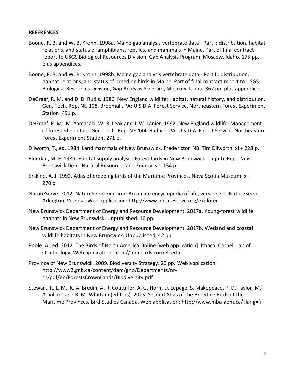#### <span id="page-13-0"></span>**REFERENCES**

- Boone, R. B. and W. B. Krohn. 1998a. Maine gap analysis vertebrate data Part I: distribution, habitat relations, and status of amphibians, reptiles, and mammals in Maine. Part of final contract report to USGS Biological Resources Division, Gap Analysis Program, Moscow, Idaho. 175 pp. plus appendices.
- Boone, R. B. and W. B. Krohn. 1998b. Maine gap analysis vertebrate data Part II: distribution, habitat relations, and status of breeding birds in Maine. Part of final contract report to USGS Biological Resources Division, Gap Analysis Program, Moscow, Idaho. 367 pp. plus appendices.
- DeGraaf, R. M. and D. D. Rudis. 1986. New England wildlife: Habitat, natural history, and distribution. Gen. Tech. Rep. NE-108. Broomall, PA: U.S.D.A. Forest Service, Northeastern Forest Experiment Station. 491 p.
- DeGraaf, R. M., M. Yamasaki, W. B. Leak and J. W. Lanier. 1992. New England wildlife: Management of forested habitats. Gen. Tech. Rep. NE-144. Radnor, PA: U.S.D.A. Forest Service, Northeastern Forest Experiment Station. 271 p.
- Dilworth, T., ed. 1984. Land mammals of New Brunswick. Fredericton NB: Tim Dilworth. xi + 228 p.
- Elderkin, M. F. 1989. Habitat supply analysis: Forest birds in New Brunswick. Unpub. Rep., New Brunswick Dept. Natural Resources and Energy: v + 154 p.
- Erskine, A. J. 1992. Atlas of breeding birds of the Maritime Provinces. Nova Scotia Museum. x + 270 p.
- NatureServe. 2012. NatureServe Explorer: An online encyclopedia of life, version 7.1. NatureServe, Arlington, Virginia. Web application: <http://www.natureserve.org/explorer>
- New Brunswick Department of Energy and Resource Development. 2017a. Young-forest wildlife habitats in New Brunswick. Unpublished. 16 pp.
- New Brunswick Department of Energy and Resource Development. 2017b. Wetland and coastal wildlife habitats in New Brunswick. Unpublished. 42 pp.
- Poole. A., ed. 2012. The Birds of North America Online [web application]. Ithaca: Cornell Lab of Ornithology. Web application: [http://bna.birds.cornell.edu.](http://bna.birds.cornell.edu/)
- Province of New Brunswick. 2009. Biodiversity Strategy. 23 pp. Web application: [http://www2.gnb.ca/content/dam/gnb/Departments/nr](http://www2.gnb.ca/content/dam/gnb/Departments/nr-rn/pdf/en/ForestsCrownLands/Biodiversity.pdf)[rn/pdf/en/ForestsCrownLands/Biodiversity.pdf](http://www2.gnb.ca/content/dam/gnb/Departments/nr-rn/pdf/en/ForestsCrownLands/Biodiversity.pdf)
- Stewart, R. L. M., K. A. Bredin, A. R. Couturier, A. G. Horn, D. Lepage, S. Makepeace, P. D. Taylor, M.- A. Villard and R. M. Whittam (editors). 2015. Second Atlas of the Breeding Birds of the Maritime Provinces. Bird Studies Canada. Web application: http://www.mba-aom.ca/?lang=fr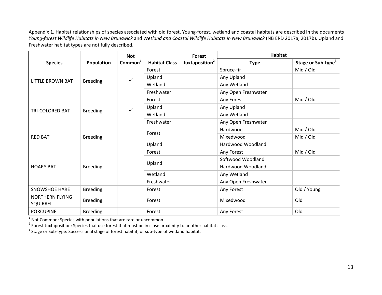Appendix 1. Habitat relationships of species associated with old forest. Young-forest, wetland and coastal habitats are described in the documents *Young-forest Wildlife Habitats in New Brunswick* and *Wetland and Coastal Wildlife Habitats in New Brunswick* (NB ERD 2017a, 2017b)*.* Upland and Freshwater habitat types are not fully described.

<span id="page-14-0"></span>

|                             |                 | <b>Not</b>          |                      | <b>Forest</b>              | <b>Habitat</b>      |                                |
|-----------------------------|-----------------|---------------------|----------------------|----------------------------|---------------------|--------------------------------|
| <b>Species</b>              | Population      | Common <sup>1</sup> | <b>Habitat Class</b> | Juxtaposition <sup>2</sup> | <b>Type</b>         | Stage or Sub-type <sup>3</sup> |
|                             |                 |                     | Forest               |                            | Spruce-fir          | Mid / Old                      |
|                             |                 | ✓                   | Upland               |                            | Any Upland          |                                |
| LITTLE BROWN BAT            | <b>Breeding</b> |                     | Wetland              |                            | Any Wetland         |                                |
|                             |                 |                     | Freshwater           |                            | Any Open Freshwater |                                |
|                             |                 |                     | Forest               |                            | Any Forest          | Mid / Old                      |
|                             |                 | ✓                   | Upland               |                            | Any Upland          |                                |
| <b>TRI-COLORED BAT</b>      | <b>Breeding</b> |                     | Wetland              |                            | Any Wetland         |                                |
|                             |                 |                     | Freshwater           |                            | Any Open Freshwater |                                |
|                             | <b>Breeding</b> |                     | Forest               |                            | Hardwood            | Mid / Old                      |
| <b>RED BAT</b>              |                 |                     |                      |                            | Mixedwood           | Mid / Old                      |
|                             |                 |                     | Upland               |                            | Hardwood Woodland   |                                |
|                             |                 |                     | Forest               |                            | Any Forest          | Mid / Old                      |
|                             |                 |                     |                      |                            | Softwood Woodland   |                                |
| <b>HOARY BAT</b>            | <b>Breeding</b> |                     | Upland               |                            | Hardwood Woodland   |                                |
|                             |                 |                     | Wetland              |                            | Any Wetland         |                                |
|                             |                 |                     | Freshwater           |                            | Any Open Freshwater |                                |
| <b>SNOWSHOE HARE</b>        | <b>Breeding</b> |                     | Forest               |                            | Any Forest          | Old / Young                    |
| NORTHERN FLYING<br>SQUIRREL | <b>Breeding</b> |                     | Forest               |                            | Mixedwood           | Old                            |
| <b>PORCUPINE</b>            | <b>Breeding</b> |                     | Forest               |                            | Any Forest          | Old                            |

<sup>1</sup> Not Common: Species with populations that are rare or uncommon.<br><sup>2</sup> Forest Juxtaposition: Species that use forest that must be in close proximity to another habitat class.

 $3$  Stage or Sub-type: Successional stage of forest habitat, or sub-type of wetland habitat.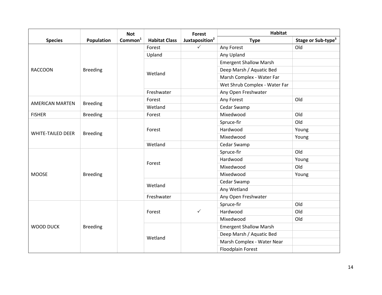|                          |                 | <b>Not</b>          |                      | <b>Forest</b>              | <b>Habitat</b>                |                                |
|--------------------------|-----------------|---------------------|----------------------|----------------------------|-------------------------------|--------------------------------|
| <b>Species</b>           | Population      | Common <sup>1</sup> | <b>Habitat Class</b> | Juxtaposition <sup>2</sup> | <b>Type</b>                   | Stage or Sub-type <sup>3</sup> |
|                          |                 |                     | Forest               | $\checkmark$               | Any Forest                    | Old                            |
|                          |                 |                     | Upland               |                            | Any Upland                    |                                |
|                          |                 |                     |                      |                            | <b>Emergent Shallow Marsh</b> |                                |
| <b>RACCOON</b>           | <b>Breeding</b> |                     | Wetland              |                            | Deep Marsh / Aquatic Bed      |                                |
|                          |                 |                     |                      |                            | Marsh Complex - Water Far     |                                |
|                          |                 |                     |                      |                            | Wet Shrub Complex - Water Far |                                |
|                          |                 |                     | Freshwater           |                            | Any Open Freshwater           |                                |
| <b>AMERICAN MARTEN</b>   |                 |                     | Forest               |                            | Any Forest                    | Old                            |
|                          | <b>Breeding</b> |                     | Wetland              |                            | Cedar Swamp                   |                                |
| <b>FISHER</b>            | <b>Breeding</b> |                     | Forest               |                            | Mixedwood                     | Old                            |
|                          |                 |                     | Forest               |                            | Spruce-fir                    | Old                            |
| <b>WHITE-TAILED DEER</b> | <b>Breeding</b> |                     |                      |                            | Hardwood                      | Young                          |
|                          |                 |                     |                      |                            | Mixedwood                     | Young                          |
|                          |                 |                     | Wetland              |                            | Cedar Swamp                   |                                |
|                          |                 |                     | Forest               |                            | Spruce-fir                    | Old                            |
|                          |                 |                     |                      |                            | Hardwood                      | Young                          |
|                          |                 |                     |                      |                            | Mixedwood                     | Old                            |
| <b>MOOSE</b>             | <b>Breeding</b> |                     |                      |                            | Mixedwood                     | Young                          |
|                          |                 |                     | Wetland              |                            | Cedar Swamp                   |                                |
|                          |                 |                     |                      |                            | Any Wetland                   |                                |
|                          |                 |                     | Freshwater           |                            | Any Open Freshwater           |                                |
|                          |                 |                     |                      |                            | Spruce-fir                    | Old                            |
|                          |                 |                     | Forest               | $\checkmark$               | Hardwood                      | Old                            |
|                          |                 |                     |                      |                            | Mixedwood                     | Old                            |
| <b>WOOD DUCK</b>         | <b>Breeding</b> |                     |                      |                            | <b>Emergent Shallow Marsh</b> |                                |
|                          |                 |                     | Wetland              |                            | Deep Marsh / Aquatic Bed      |                                |
|                          |                 |                     |                      |                            | Marsh Complex - Water Near    |                                |
|                          |                 |                     |                      |                            | Floodplain Forest             |                                |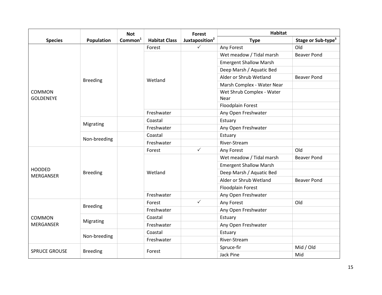|                                   |                 | <b>Not</b>          |                      | <b>Forest</b>              | <b>Habitat</b>                |                                |
|-----------------------------------|-----------------|---------------------|----------------------|----------------------------|-------------------------------|--------------------------------|
| <b>Species</b>                    | Population      | Common <sup>1</sup> | <b>Habitat Class</b> | Juxtaposition <sup>2</sup> | <b>Type</b>                   | Stage or Sub-type <sup>3</sup> |
|                                   |                 |                     | Forest               | $\checkmark$               | Any Forest                    | Old                            |
|                                   |                 |                     |                      |                            | Wet meadow / Tidal marsh      | <b>Beaver Pond</b>             |
|                                   |                 |                     |                      |                            | <b>Emergent Shallow Marsh</b> |                                |
|                                   |                 |                     |                      |                            | Deep Marsh / Aquatic Bed      |                                |
|                                   | <b>Breeding</b> |                     | Wetland              |                            | Alder or Shrub Wetland        | <b>Beaver Pond</b>             |
|                                   |                 |                     |                      |                            | Marsh Complex - Water Near    |                                |
| <b>COMMON</b>                     |                 |                     |                      |                            | Wet Shrub Complex - Water     |                                |
| <b>GOLDENEYE</b>                  |                 |                     |                      |                            | Near                          |                                |
|                                   |                 |                     |                      |                            | Floodplain Forest             |                                |
|                                   |                 |                     | Freshwater           |                            | Any Open Freshwater           |                                |
|                                   | Migrating       |                     | Coastal              |                            | Estuary                       |                                |
|                                   |                 |                     | Freshwater           |                            | Any Open Freshwater           |                                |
|                                   | Non-breeding    |                     | Coastal              |                            | Estuary                       |                                |
|                                   |                 |                     | Freshwater           |                            | River-Stream                  |                                |
|                                   |                 |                     | Forest               | $\checkmark$               | Any Forest                    | Old                            |
|                                   |                 |                     |                      |                            | Wet meadow / Tidal marsh      | <b>Beaver Pond</b>             |
|                                   |                 |                     |                      |                            | <b>Emergent Shallow Marsh</b> |                                |
| <b>HOODED</b><br><b>MERGANSER</b> | <b>Breeding</b> |                     | Wetland              |                            | Deep Marsh / Aquatic Bed      |                                |
|                                   |                 |                     |                      |                            | Alder or Shrub Wetland        | <b>Beaver Pond</b>             |
|                                   |                 |                     |                      |                            | Floodplain Forest             |                                |
|                                   |                 |                     | Freshwater           |                            | Any Open Freshwater           |                                |
|                                   |                 |                     | Forest               | $\checkmark$               | Any Forest                    | Old                            |
|                                   | <b>Breeding</b> |                     | Freshwater           |                            | Any Open Freshwater           |                                |
| <b>COMMON</b>                     |                 |                     | Coastal              |                            | Estuary                       |                                |
| <b>MERGANSER</b>                  | Migrating       |                     | Freshwater           |                            | Any Open Freshwater           |                                |
|                                   |                 |                     | Coastal              |                            | Estuary                       |                                |
|                                   | Non-breeding    |                     | Freshwater           |                            | River-Stream                  |                                |
|                                   |                 |                     |                      |                            | Spruce-fir                    | Mid / Old                      |
| <b>SPRUCE GROUSE</b>              | <b>Breeding</b> |                     | Forest               |                            | <b>Jack Pine</b>              | Mid                            |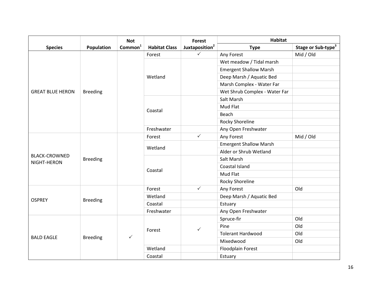|                                     |                 | <b>Not</b>          | <b>Forest</b>        |                            | <b>Habitat</b>                |                                |
|-------------------------------------|-----------------|---------------------|----------------------|----------------------------|-------------------------------|--------------------------------|
| <b>Species</b>                      | Population      | Common <sup>1</sup> | <b>Habitat Class</b> | Juxtaposition <sup>2</sup> | <b>Type</b>                   | Stage or Sub-type <sup>3</sup> |
|                                     |                 |                     | Forest               | $\checkmark$               | Any Forest                    | Mid / Old                      |
|                                     |                 |                     |                      |                            | Wet meadow / Tidal marsh      |                                |
|                                     |                 |                     | Wetland              |                            | <b>Emergent Shallow Marsh</b> |                                |
|                                     |                 |                     |                      |                            | Deep Marsh / Aquatic Bed      |                                |
|                                     |                 |                     |                      |                            | Marsh Complex - Water Far     |                                |
| <b>GREAT BLUE HERON</b>             | <b>Breeding</b> |                     |                      |                            | Wet Shrub Complex - Water Far |                                |
|                                     |                 |                     |                      |                            | Salt Marsh                    |                                |
|                                     |                 |                     |                      |                            | Mud Flat                      |                                |
|                                     |                 |                     | Coastal              |                            | Beach                         |                                |
|                                     |                 |                     |                      |                            | <b>Rocky Shoreline</b>        |                                |
|                                     |                 |                     | Freshwater           |                            | Any Open Freshwater           |                                |
|                                     | <b>Breeding</b> |                     | Forest               | $\checkmark$               | Any Forest                    | Mid / Old                      |
|                                     |                 |                     | Wetland              |                            | <b>Emergent Shallow Marsh</b> |                                |
|                                     |                 |                     |                      |                            | Alder or Shrub Wetland        |                                |
| <b>BLACK-CROWNED</b><br>NIGHT-HERON |                 |                     | Coastal              |                            | Salt Marsh                    |                                |
|                                     |                 |                     |                      |                            | Coastal Island                |                                |
|                                     |                 |                     |                      |                            | Mud Flat                      |                                |
|                                     |                 |                     |                      |                            | <b>Rocky Shoreline</b>        |                                |
|                                     | <b>Breeding</b> |                     | Forest               | $\checkmark$               | Any Forest                    | Old                            |
| <b>OSPREY</b>                       |                 |                     | Wetland              |                            | Deep Marsh / Aquatic Bed      |                                |
|                                     |                 |                     | Coastal              |                            | Estuary                       |                                |
|                                     |                 |                     | Freshwater           |                            | Any Open Freshwater           |                                |
|                                     | <b>Breeding</b> | $\checkmark$        | Forest               | $\checkmark$               | Spruce-fir                    | Old                            |
|                                     |                 |                     |                      |                            | Pine                          | Old                            |
| <b>BALD EAGLE</b>                   |                 |                     |                      |                            | <b>Tolerant Hardwood</b>      | Old                            |
|                                     |                 |                     |                      |                            | Mixedwood                     | Old                            |
|                                     |                 |                     | Wetland              |                            | Floodplain Forest             |                                |
|                                     |                 |                     | Coastal              |                            | Estuary                       |                                |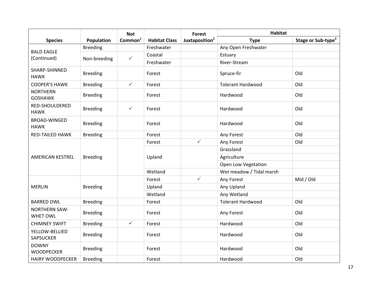|                                         |                 | <b>Not</b>          |                      | <b>Forest</b>              | <b>Habitat</b>           |                                |
|-----------------------------------------|-----------------|---------------------|----------------------|----------------------------|--------------------------|--------------------------------|
| <b>Species</b>                          | Population      | Common <sup>1</sup> | <b>Habitat Class</b> | Juxtaposition <sup>2</sup> | <b>Type</b>              | Stage or Sub-type <sup>3</sup> |
|                                         | <b>Breeding</b> |                     | Freshwater           |                            | Any Open Freshwater      |                                |
| <b>BALD EAGLE</b><br>(Continued)        | Non-breeding    | $\checkmark$        | Coastal              |                            | Estuary                  |                                |
|                                         |                 |                     | Freshwater           |                            | River-Stream             |                                |
| SHARP-SHINNED<br><b>HAWK</b>            | <b>Breeding</b> |                     | Forest               |                            | Spruce-fir               | Old                            |
| <b>COOPER'S HAWK</b>                    | <b>Breeding</b> | $\checkmark$        | Forest               |                            | <b>Tolerant Hardwood</b> | Old                            |
| <b>NORTHERN</b><br><b>GOSHAWK</b>       | <b>Breeding</b> |                     | Forest               |                            | Hardwood                 | Old                            |
| RED-SHOULDERED<br><b>HAWK</b>           | <b>Breeding</b> | $\checkmark$        | Forest               |                            | Hardwood                 | Old                            |
| <b>BROAD-WINGED</b><br><b>HAWK</b>      | <b>Breeding</b> |                     | Forest               |                            | Hardwood                 | Old                            |
| <b>RED-TAILED HAWK</b>                  | <b>Breeding</b> |                     | Forest               |                            | Any Forest               | Old                            |
|                                         | <b>Breeding</b> |                     | Forest               | $\checkmark$               | Any Forest               | Old                            |
|                                         |                 |                     | Upland               |                            | Grassland                |                                |
| <b>AMERICAN KESTREL</b>                 |                 |                     |                      |                            | Agriculture              |                                |
|                                         |                 |                     |                      |                            | Open Low Vegetation      |                                |
|                                         |                 |                     | Wetland              |                            | Wet meadow / Tidal marsh |                                |
|                                         |                 |                     | Forest               | $\checkmark$               | Any Forest               | Mid / Old                      |
| <b>MERLIN</b>                           | <b>Breeding</b> |                     | Upland               |                            | Any Upland               |                                |
|                                         |                 |                     | Wetland              |                            | Any Wetland              |                                |
| <b>BARRED OWL</b>                       | <b>Breeding</b> |                     | Forest               |                            | <b>Tolerant Hardwood</b> | Old                            |
| <b>NORTHERN SAW-</b><br><b>WHET OWL</b> | <b>Breeding</b> |                     | Forest               |                            | Any Forest               | Old                            |
| <b>CHIMNEY SWIFT</b>                    | <b>Breeding</b> | $\checkmark$        | Forest               |                            | Hardwood                 | Old                            |
| YELLOW-BELLIED<br><b>SAPSUCKER</b>      | <b>Breeding</b> |                     | Forest               |                            | Hardwood                 | Old                            |
| <b>DOWNY</b><br><b>WOODPECKER</b>       | <b>Breeding</b> |                     | Forest               |                            | Hardwood                 | Old                            |
| <b>HAIRY WOODPECKER</b>                 | <b>Breeding</b> |                     | Forest               |                            | Hardwood                 | Old                            |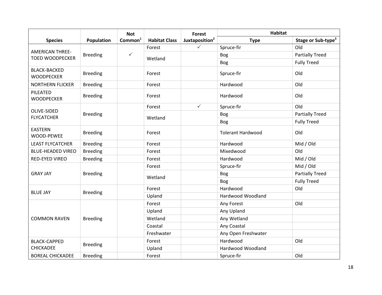|                                                  |                 | <b>Not</b>          |                      | Forest                     | <b>Habitat</b>           |                                |
|--------------------------------------------------|-----------------|---------------------|----------------------|----------------------------|--------------------------|--------------------------------|
| <b>Species</b>                                   | Population      | Common <sup>1</sup> | <b>Habitat Class</b> | Juxtaposition <sup>2</sup> | <b>Type</b>              | Stage or Sub-type <sup>3</sup> |
| <b>AMERICAN THREE-</b><br><b>TOED WOODPECKER</b> | <b>Breeding</b> | $\checkmark$        | Forest               | $\checkmark$               | Spruce-fir               | Old                            |
|                                                  |                 |                     | Wetland              |                            | <b>Bog</b>               | <b>Partially Treed</b>         |
|                                                  |                 |                     |                      |                            | Bog                      | <b>Fully Treed</b>             |
| <b>BLACK-BACKED</b><br><b>WOODPECKER</b>         | <b>Breeding</b> |                     | Forest               |                            | Spruce-fir               | Old                            |
| <b>NORTHERN FLICKER</b>                          | <b>Breeding</b> |                     | Forest               |                            | Hardwood                 | Old                            |
| PILEATED<br><b>WOODPECKER</b>                    | <b>Breeding</b> |                     | Forest               |                            | Hardwood                 | Old                            |
|                                                  |                 |                     | Forest               | $\checkmark$               | Spruce-fir               | Old                            |
| OLIVE-SIDED<br><b>FLYCATCHER</b>                 | <b>Breeding</b> |                     |                      |                            | <b>Bog</b>               | <b>Partially Treed</b>         |
|                                                  |                 |                     | Wetland              |                            | <b>Bog</b>               | <b>Fully Treed</b>             |
| <b>EASTERN</b><br>WOOD-PEWEE                     | <b>Breeding</b> |                     | Forest               |                            | <b>Tolerant Hardwood</b> | Old                            |
| <b>LEAST FLYCATCHER</b>                          | <b>Breeding</b> |                     | Forest               |                            | Hardwood                 | Mid / Old                      |
| <b>BLUE-HEADED VIREO</b>                         | <b>Breeding</b> |                     | Forest               |                            | Mixedwood                | Old                            |
| RED-EYED VIREO                                   | <b>Breeding</b> |                     | Forest               |                            | Hardwood                 | Mid / Old                      |
|                                                  | <b>Breeding</b> |                     | Forest               |                            | Spruce-fir               | Mid / Old                      |
| <b>GRAY JAY</b>                                  |                 |                     | Wetland              |                            | <b>Bog</b>               | <b>Partially Treed</b>         |
|                                                  |                 |                     |                      |                            | Bog                      | <b>Fully Treed</b>             |
| <b>BLUE JAY</b>                                  | <b>Breeding</b> |                     | Forest               |                            | Hardwood                 | Old                            |
|                                                  |                 |                     | Upland               |                            | Hardwood Woodland        |                                |
|                                                  | <b>Breeding</b> |                     | Forest               |                            | Any Forest               | Old                            |
|                                                  |                 |                     | Upland               |                            | Any Upland               |                                |
| <b>COMMON RAVEN</b>                              |                 |                     | Wetland              |                            | Any Wetland              |                                |
|                                                  |                 |                     | Coastal              |                            | Any Coastal              |                                |
|                                                  |                 |                     | Freshwater           |                            | Any Open Freshwater      |                                |
| <b>BLACK-CAPPED</b>                              | <b>Breeding</b> |                     | Forest               |                            | Hardwood                 | Old                            |
| <b>CHICKADEE</b>                                 |                 |                     | Upland               |                            | Hardwood Woodland        |                                |
| <b>BOREAL CHICKADEE</b>                          | <b>Breeding</b> |                     | Forest               |                            | Spruce-fir               | Old                            |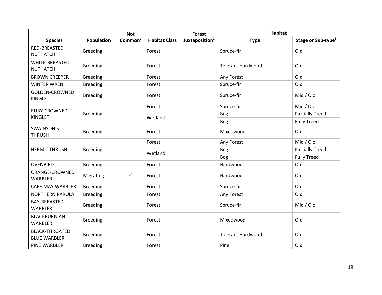|                                              |                 | <b>Not</b>          |                      | <b>Forest</b>              | <b>Habitat</b>           |                                |
|----------------------------------------------|-----------------|---------------------|----------------------|----------------------------|--------------------------|--------------------------------|
| <b>Species</b>                               | Population      | Common <sup>1</sup> | <b>Habitat Class</b> | Juxtaposition <sup>2</sup> | <b>Type</b>              | Stage or Sub-type <sup>3</sup> |
| <b>RED-BREASTED</b><br><b>NUTHATCH</b>       | <b>Breeding</b> |                     | Forest               |                            | Spruce-fir               | Old                            |
| WHITE-BREASTED<br><b>NUTHATCH</b>            | <b>Breeding</b> |                     | Forest               |                            | <b>Tolerant Hardwood</b> | Old                            |
| <b>BROWN CREEPER</b>                         | <b>Breeding</b> |                     | Forest               |                            | Any Forest               | Old                            |
| <b>WINTER WREN</b>                           | <b>Breeding</b> |                     | Forest               |                            | Spruce-fir               | Old                            |
| <b>GOLDEN-CROWNED</b><br><b>KINGLET</b>      | <b>Breeding</b> |                     | Forest               |                            | Spruce-fir               | Mid / Old                      |
|                                              |                 |                     | Forest               |                            | Spruce-fir               | Mid / Old                      |
| RUBY-CROWNED<br><b>KINGLET</b>               | <b>Breeding</b> |                     | Wetland              |                            | Bog                      | <b>Partially Treed</b>         |
|                                              |                 |                     |                      |                            | Bog                      | <b>Fully Treed</b>             |
| <b>SWAINSON'S</b><br><b>THRUSH</b>           | <b>Breeding</b> |                     | Forest               |                            | Mixedwood                | Old                            |
| <b>HERMIT THRUSH</b>                         | <b>Breeding</b> |                     | Forest               |                            | Any Forest               | Mid / Old                      |
|                                              |                 |                     | Wetland              |                            | <b>Bog</b>               | <b>Partially Treed</b>         |
|                                              |                 |                     |                      |                            | Bog                      | <b>Fully Treed</b>             |
| <b>OVENBIRD</b>                              | <b>Breeding</b> |                     | Forest               |                            | Hardwood                 | Old                            |
| ORANGE-CROWNED<br><b>WARBLER</b>             | Migrating       | $\checkmark$        | Forest               |                            | Hardwood                 | Old                            |
| <b>CAPE MAY WARBLER</b>                      | <b>Breeding</b> |                     | Forest               |                            | Spruce-fir               | Old                            |
| <b>NORTHERN PARULA</b>                       | <b>Breeding</b> |                     | Forest               |                            | Any Forest               | Old                            |
| BAY-BREASTED<br><b>WARBLER</b>               | <b>Breeding</b> |                     | Forest               |                            | Spruce-fir               | Mid / Old                      |
| <b>BLACKBURNIAN</b><br><b>WARBLER</b>        | <b>Breeding</b> |                     | Forest               |                            | Mixedwood                | Old                            |
| <b>BLACK-THROATED</b><br><b>BLUE WARBLER</b> | <b>Breeding</b> |                     | Forest               |                            | <b>Tolerant Hardwood</b> | Old                            |
| PINE WARBLER                                 | <b>Breeding</b> |                     | Forest               |                            | Pine                     | Old                            |